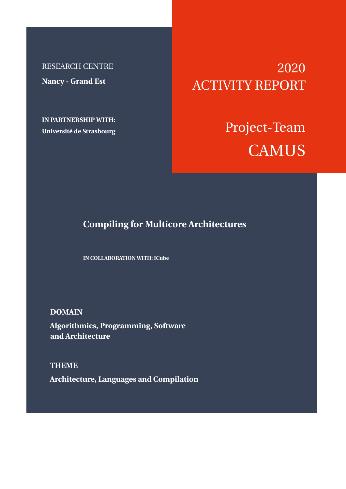RESEARCH CENTRE **Nancy - Grand Est**

**IN PARTNERSHIP WITH: Université de Strasbourg**

# 2020 ACTIVITY REPORT

# Project-Team **CAMUS**

# **Compiling for Multicore Architectures**

**IN COLLABORATION WITH: ICube**

**DOMAIN**

**Algorithmics, Programming, Software and Architecture**

**THEME Architecture, Languages and Compilation**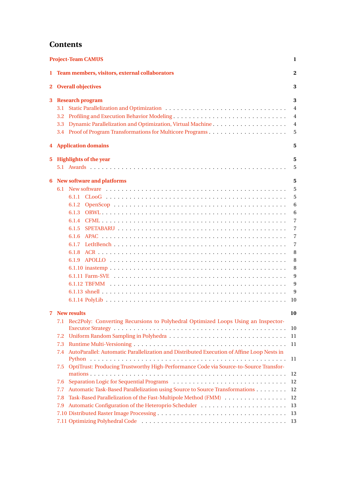# **Contents**

| <b>Project-Team CAMUS</b><br>1 |                                                                                                  |                                  |  |  |  |
|--------------------------------|--------------------------------------------------------------------------------------------------|----------------------------------|--|--|--|
| 1                              | Team members, visitors, external collaborators                                                   | 2                                |  |  |  |
| $\mathbf{2}$                   | <b>Overall objectives</b><br><b>Research program</b>                                             |                                  |  |  |  |
| 3                              |                                                                                                  |                                  |  |  |  |
|                                | 3.1<br>3.2                                                                                       | $\overline{4}$<br>$\overline{4}$ |  |  |  |
|                                | Dynamic Parallelization and Optimization, Virtual Machine<br>3.3                                 | 4                                |  |  |  |
|                                |                                                                                                  | 5                                |  |  |  |
|                                |                                                                                                  | 5                                |  |  |  |
|                                | <b>4</b> Application domains                                                                     |                                  |  |  |  |
| 5.                             | <b>Highlights of the year</b>                                                                    | 5                                |  |  |  |
|                                |                                                                                                  | 5                                |  |  |  |
| 6                              | New software and platforms                                                                       | 5                                |  |  |  |
|                                |                                                                                                  | 5                                |  |  |  |
|                                |                                                                                                  | 5                                |  |  |  |
|                                |                                                                                                  | 6                                |  |  |  |
|                                |                                                                                                  | 6<br>7                           |  |  |  |
|                                | 6.1.5                                                                                            | 7                                |  |  |  |
|                                | 6.1.6                                                                                            | 7                                |  |  |  |
|                                |                                                                                                  | $\overline{7}$                   |  |  |  |
|                                | 6.1.8                                                                                            | 8                                |  |  |  |
|                                |                                                                                                  | 8                                |  |  |  |
|                                |                                                                                                  | 8                                |  |  |  |
|                                |                                                                                                  | 9                                |  |  |  |
|                                |                                                                                                  | 9                                |  |  |  |
|                                |                                                                                                  | 9                                |  |  |  |
|                                |                                                                                                  | 10                               |  |  |  |
| 7                              | <b>New results</b>                                                                               | 10                               |  |  |  |
|                                | 7.1 Rec2Poly: Converting Recursions to Polyhedral Optimized Loops Using an Inspector-            |                                  |  |  |  |
|                                |                                                                                                  | 10                               |  |  |  |
|                                | 7.2                                                                                              | 11                               |  |  |  |
|                                | 11                                                                                               |                                  |  |  |  |
|                                | AutoParallel: Automatic Parallelization and Distributed Execution of Affine Loop Nests in<br>7.4 |                                  |  |  |  |
|                                |                                                                                                  | 11                               |  |  |  |
|                                | 7.5 OptiTrust: Producing Trustworthy High-Performance Code via Source-to-Source Transfor-        | 12                               |  |  |  |
|                                | 7.6                                                                                              | 12                               |  |  |  |
|                                | Automatic Task-Based Parallelization using Source to Source Transformations<br>7.7               | 12                               |  |  |  |
|                                | Task-Based Parallelization of the Fast-Multipole Method (FMM)<br>7.8                             | 12                               |  |  |  |
|                                | 7.9                                                                                              | 13                               |  |  |  |
|                                |                                                                                                  | 13                               |  |  |  |
|                                |                                                                                                  |                                  |  |  |  |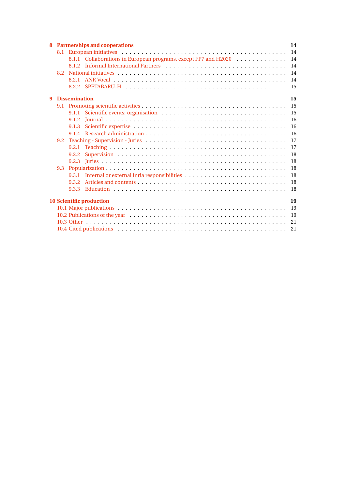|                                       | 8 Partnerships and cooperations                                                                                                 |       |                                                                 |     |  |  |
|---------------------------------------|---------------------------------------------------------------------------------------------------------------------------------|-------|-----------------------------------------------------------------|-----|--|--|
|                                       |                                                                                                                                 |       |                                                                 | 14  |  |  |
|                                       |                                                                                                                                 |       | 8.1.1 Collaborations in European programs, except FP7 and H2020 | 14  |  |  |
|                                       |                                                                                                                                 |       |                                                                 | 14  |  |  |
|                                       | 8.2                                                                                                                             |       |                                                                 | 14  |  |  |
|                                       |                                                                                                                                 | 8.2.1 |                                                                 | 14  |  |  |
|                                       |                                                                                                                                 | 8.2.2 |                                                                 | 15  |  |  |
| $\mathbf{q}$                          | <b>Dissemination</b>                                                                                                            |       |                                                                 |     |  |  |
|                                       |                                                                                                                                 |       |                                                                 | 15  |  |  |
|                                       |                                                                                                                                 | 9.1.1 |                                                                 | 15  |  |  |
|                                       |                                                                                                                                 | 9.1.2 |                                                                 | -16 |  |  |
|                                       |                                                                                                                                 | 9.1.3 |                                                                 | 16  |  |  |
|                                       |                                                                                                                                 |       |                                                                 | 16  |  |  |
|                                       | 9.2                                                                                                                             |       |                                                                 | 17  |  |  |
|                                       |                                                                                                                                 | 9.2.1 |                                                                 | 17  |  |  |
|                                       |                                                                                                                                 | 9.2.2 |                                                                 | 18  |  |  |
|                                       |                                                                                                                                 |       |                                                                 | 18  |  |  |
|                                       | 9.3                                                                                                                             |       |                                                                 | 18  |  |  |
|                                       |                                                                                                                                 |       |                                                                 | 18  |  |  |
|                                       |                                                                                                                                 | 9.3.2 |                                                                 | 18  |  |  |
|                                       |                                                                                                                                 |       |                                                                 | 18  |  |  |
| <b>10 Scientific production</b><br>19 |                                                                                                                                 |       |                                                                 |     |  |  |
|                                       |                                                                                                                                 |       |                                                                 |     |  |  |
|                                       | 10.2 Publications of the year $\dots \dots \dots \dots \dots \dots \dots \dots \dots \dots \dots \dots \dots \dots \dots \dots$ |       |                                                                 | 19  |  |  |
|                                       |                                                                                                                                 |       |                                                                 | 21  |  |  |
|                                       |                                                                                                                                 |       |                                                                 |     |  |  |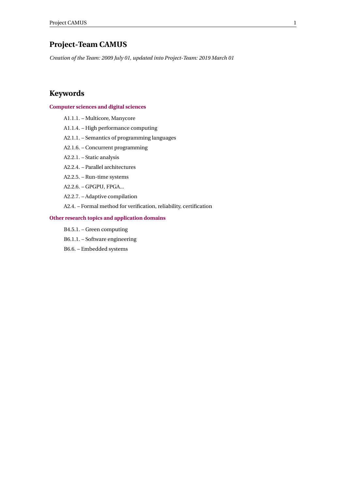# <span id="page-3-0"></span>**Project-Team CAMUS**

*Creation of the Team: 2009 July 01, updated into Project-Team: 2019 March 01*

# **Keywords**

# **[Computer sciences and digital sciences](https://raweb.inria.fr/rapportsactivite/RA2020/static/keywords/ComputerScienceandDigitalScience.html)**

- A1.1.1. Multicore, Manycore
- A1.1.4. High performance computing
- A2.1.1. Semantics of programming languages
- A2.1.6. Concurrent programming
- A2.2.1. Static analysis
- A2.2.4. Parallel architectures
- A2.2.5. Run-time systems
- A2.2.6. GPGPU, FPGA...
- A2.2.7. Adaptive compilation
- A2.4. Formal method for verification, reliability, certification

# **[Other research topics and application domains](https://raweb.inria.fr/rapportsactivite/RA2020/static/keywords/OtherResearchTopicsandApplicationDomains.html)**

- B4.5.1. Green computing
- B6.1.1. Software engineering
- B6.6. Embedded systems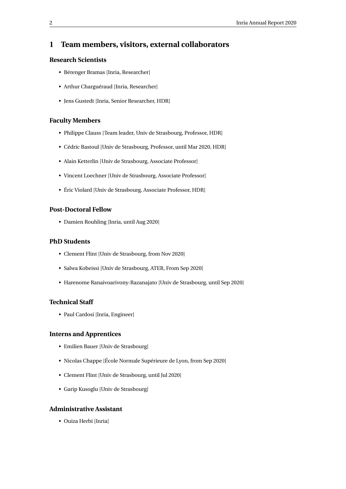# <span id="page-4-0"></span>**1 Team members, visitors, external collaborators**

# **Research Scientists**

- Bérenger Bramas [Inria, Researcher]
- Arthur Charguéraud [Inria, Researcher]
- Jens Gustedt [Inria, Senior Researcher, HDR]

# **Faculty Members**

- Philippe Clauss [Team leader, Univ de Strasbourg, Professor, HDR]
- Cédric Bastoul [Univ de Strasbourg, Professor, until Mar 2020, HDR]
- Alain Ketterlin [Univ de Strasbourg, Associate Professor]
- Vincent Loechner [Univ de Strasbourg, Associate Professor]
- Éric Violard [Univ de Strasbourg, Associate Professor, HDR]

# **Post-Doctoral Fellow**

• Damien Rouhling [Inria, until Aug 2020]

# **PhD Students**

- Clement Flint [Univ de Strasbourg, from Nov 2020]
- Salwa Kobeissi [Univ de Strasbourg, ATER, From Sep 2020]
- Harenome Ranaivoarivony-Razanajato [Univ de Strasbourg, until Sep 2020]

# **Technical Staff**

• Paul Cardosi [Inria, Engineer]

# **Interns and Apprentices**

- Emilien Bauer [Univ de Strasbourg]
- Nicolas Chappe [École Normale Supérieure de Lyon, from Sep 2020]
- Clement Flint [Univ de Strasbourg, until Jul 2020]
- Garip Kusoglu [Univ de Strasbourg]

# **Administrative Assistant**

• Ouiza Herbi [Inria]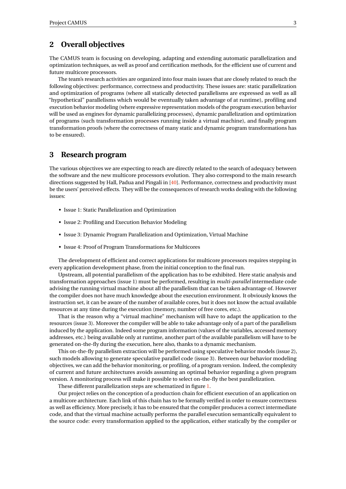# <span id="page-5-0"></span>**2 Overall objectives**

The CAMUS team is focusing on developing, adapting and extending automatic parallelization and optimization techniques, as well as proof and certification methods, for the efficient use of current and future multicore processors.

The team's research activities are organized into four main issues that are closely related to reach the following objectives: performance, correctness and productivity. These issues are: static parallelization and optimization of programs (where all statically detected parallelisms are expressed as well as all "hypothetical" parallelisms which would be eventually taken advantage of at runtime), profiling and execution behavior modeling (where expressive representation models of the program execution behavior will be used as engines for dynamic parallelizing processes), dynamic parallelization and optimization of programs (such transformation processes running inside a virtual machine), and finally program transformation proofs (where the correctness of many static and dynamic program transformations has to be ensured).

# <span id="page-5-1"></span>**3 Research program**

The various objectives we are expecting to reach are directly related to the search of adequacy between the software and the new multicore processors evolution. They also correspond to the main research directions suggested by Hall, Padua and Pingali in [\[40\]](#page-24-0). Performance, correctness and productivity must be the users' perceived effects. They will be the consequences of research works dealing with the following issues:

- Issue 1: Static Parallelization and Optimization
- Issue 2: Profiling and Execution Behavior Modeling
- Issue 3: Dynamic Program Parallelization and Optimization, Virtual Machine
- Issue 4: Proof of Program Transformations for Multicores

The development of efficient and correct applications for multicore processors requires stepping in every application development phase, from the initial conception to the final run.

Upstream, all potential parallelism of the application has to be exhibited. Here static analysis and transformation approaches (issue 1) must be performed, resulting in *multi-parallel* intermediate code advising the running virtual machine about all the parallelism that can be taken advantage of. However the compiler does not have much knowledge about the execution environment. It obviously knows the instruction set, it can be aware of the number of available cores, but it does not know the actual available resources at any time during the execution (memory, number of free cores, etc.).

That is the reason why a "virtual machine" mechanism will have to adapt the application to the resources (issue 3). Moreover the compiler will be able to take advantage only of a part of the parallelism induced by the application. Indeed some program information (values of the variables, accessed memory addresses, etc.) being available only at runtime, another part of the available parallelism will have to be generated on-the-fly during the execution, here also, thanks to a dynamic mechanism.

This on-the-fly parallelism extraction will be performed using speculative behavior models (issue 2), such models allowing to generate speculative parallel code (issue 3). Between our behavior modeling objectives, we can add the behavior monitoring, or profiling, of a program version. Indeed, the complexity of current and future architectures avoids assuming an optimal behavior regarding a given program version. A monitoring process will make it possible to select on-the-fly the best parallelization.

These different parallelization steps are schematized in figure [1.](#page-6-3)

Our project relies on the conception of a production chain for efficient execution of an application on a multicore architecture. Each link of this chain has to be formally verified in order to ensure correctness as well as efficiency. More precisely, it has to be ensured that the compiler produces a correct intermediate code, and that the virtual machine actually performs the parallel execution semantically equivalent to the source code: every transformation applied to the application, either statically by the compiler or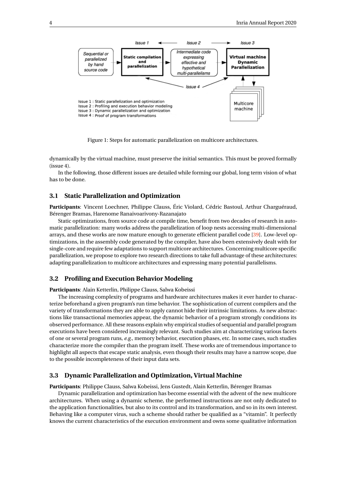

<span id="page-6-3"></span>Figure 1: Steps for automatic parallelization on multicore architectures.

dynamically by the virtual machine, must preserve the initial semantics. This must be proved formally (issue 4).

In the following, those different issues are detailed while forming our global, long term vision of what has to be done.

# <span id="page-6-0"></span>**3.1 Static Parallelization and Optimization**

**Participants**: Vincent Loechner, Philippe Clauss, Éric Violard, Cédric Bastoul, Arthur Charguéraud, Bérenger Bramas, Harenome Ranaivoarivony-Razanajato

Static optimizations, from source code at compile time, benefit from two decades of research in automatic parallelization: many works address the parallelization of loop nests accessing multi-dimensional arrays, and these works are now mature enough to generate efficient parallel code [\[39\]](#page-23-2). Low-level optimizations, in the assembly code generated by the compiler, have also been extensively dealt with for single-core and require few adaptations to support multicore architectures. Concerning multicore specific parallelization, we propose to explore two research directions to take full advantage of these architectures: adapting parallelization to multicore architectures and expressing many potential parallelisms.

# <span id="page-6-1"></span>**3.2 Profiling and Execution Behavior Modeling**

**Participants**: Alain Ketterlin, Philippe Clauss, Salwa Kobeissi

The increasing complexity of programs and hardware architectures makes it ever harder to characterize beforehand a given program's run time behavior. The sophistication of current compilers and the variety of transformations they are able to apply cannot hide their intrinsic limitations. As new abstractions like transactional memories appear, the dynamic behavior of a program strongly conditions its observed performance. All these reasons explain why empirical studies of sequential and parallel program executions have been considered increasingly relevant. Such studies aim at characterizing various facets of one or several program runs, *e.g.*, memory behavior, execution phases, etc. In some cases, such studies characterize more the compiler than the program itself. These works are of tremendous importance to highlight all aspects that escape static analysis, even though their results may have a narrow scope, due to the possible incompleteness of their input data sets.

#### <span id="page-6-2"></span>**3.3 Dynamic Parallelization and Optimization, Virtual Machine**

**Participants**: Philippe Clauss, Salwa Kobeissi, Jens Gustedt, Alain Ketterlin, Bérenger Bramas

Dynamic parallelization and optimization has become essential with the advent of the new multicore architectures. When using a dynamic scheme, the performed instructions are not only dedicated to the application functionalities, but also to its control and its transformation, and so in its own interest. Behaving like a computer virus, such a scheme should rather be qualified as a "vitamin". It perfectly knows the current characteristics of the execution environment and owns some qualitative information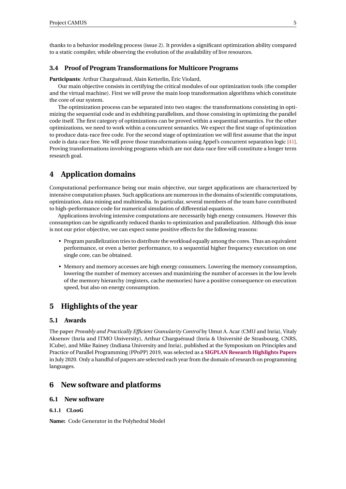thanks to a behavior modeling process (issue 2). It provides a significant optimization ability compared to a static compiler, while observing the evolution of the availability of live resources.

# <span id="page-7-0"></span>**3.4 Proof of Program Transformations for Multicore Programs**

**Participants**: Arthur Charguéraud, Alain Ketterlin, Éric Violard,

Our main objective consists in certifying the critical modules of our optimization tools (the compiler and the virtual machine). First we will prove the main loop transformation algorithms which constitute the core of our system.

The optimization process can be separated into two stages: the transformations consisting in optimizing the sequential code and in exhibiting parallelism, and those consisting in optimizing the parallel code itself. The first category of optimizations can be proved within a sequential semantics. For the other optimizations, we need to work within a concurrent semantics. We expect the first stage of optimization to produce data-race free code. For the second stage of optimization we will first assume that the input code is data-race free. We will prove those transformations using Appel's concurrent separation logic [\[41\]](#page-24-1). Proving transformations involving programs which are not data-race free will constitute a longer term research goal.

# <span id="page-7-1"></span>**4 Application domains**

Computational performance being our main objective, our target applications are characterized by intensive computation phases. Such applications are numerous in the domains of scientific computations, optimization, data mining and multimedia. In particular, several members of the team have contributed to high-performance code for numerical simulation of differential equations.

Applications involving intensive computations are necessarily high energy consumers. However this consumption can be significantly reduced thanks to optimization and parallelization. Although this issue is not our prior objective, we can expect some positive effects for the following reasons:

- Program parallelization tries to distribute the workload equally among the cores. Thus an equivalent performance, or even a better performance, to a sequential higher frequency execution on one single core, can be obtained.
- Memory and memory accesses are high energy consumers. Lowering the memory consumption, lowering the number of memory accesses and maximizing the number of accesses in the low levels of the memory hierarchy (registers, cache memories) have a positive consequence on execution speed, but also on energy consumption.

# <span id="page-7-2"></span>**5 Highlights of the year**

# <span id="page-7-3"></span>**5.1 Awards**

The paper *Provably and Practically Efficient Granularity Control* by Umut A. Acar (CMU and Inria), Vitaly Aksenov (Inria and ITMO University), Arthur Charguéraud (Inria & Université de Strasbourg, CNRS, ICube), and Mike Rainey (Indiana University and Inria), published at the Symposium on Principles and Practice of Parallel Programming (PPoPP) 2019, was selected as a **[SIGPLAN Research Highlights Papers](https://www.sigplan.org/Highlights/Papers/)** in July 2020. Only a handful of papers are selected each year from the domain of research on programming languages.

# <span id="page-7-4"></span>**6 New software and platforms**

# <span id="page-7-5"></span>**6.1 New software**

## <span id="page-7-6"></span>**6.1.1 CLooG**

**Name:** Code Generator in the Polyhedral Model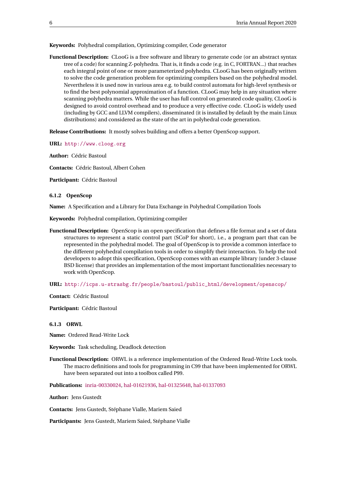**Keywords:** Polyhedral compilation, Optimizing compiler, Code generator

**Functional Description:** CLooG is a free software and library to generate code (or an abstract syntax tree of a code) for scanning Z-polyhedra. That is, it finds a code (e.g. in C, FORTRAN...) that reaches each integral point of one or more parameterized polyhedra. CLooG has been originally written to solve the code generation problem for optimizing compilers based on the polyhedral model. Nevertheless it is used now in various area e.g. to build control automata for high-level synthesis or to find the best polynomial approximation of a function. CLooG may help in any situation where scanning polyhedra matters. While the user has full control on generated code quality, CLooG is designed to avoid control overhead and to produce a very effective code. CLooG is widely used (including by GCC and LLVM compilers), disseminated (it is installed by default by the main Linux distributions) and considered as the state of the art in polyhedral code generation.

**Release Contributions:** It mostly solves building and offers a better OpenScop support.

**URL:** <http://www.cloog.org>

**Author:** Cédric Bastoul

**Contacts:** Cédric Bastoul, Albert Cohen

**Participant:** Cédric Bastoul

#### <span id="page-8-0"></span>**6.1.2 OpenScop**

**Name:** A Specification and a Library for Data Exchange in Polyhedral Compilation Tools

**Keywords:** Polyhedral compilation, Optimizing compiler

**Functional Description:** OpenScop is an open specification that defines a file format and a set of data structures to represent a static control part (SCoP for short), i.e., a program part that can be represented in the polyhedral model. The goal of OpenScop is to provide a common interface to the different polyhedral compilation tools in order to simplify their interaction. To help the tool developers to adopt this specification, OpenScop comes with an example library (under 3-clause BSD license) that provides an implementation of the most important functionalities necessary to work with OpenScop.

**URL:** [http://icps.u-strasbg.fr/people/bastoul/public\\_html/development/openscop/](http://icps.u-strasbg.fr/people/bastoul/public_html/development/openscop/)

**Contact:** Cédric Bastoul

**Participant:** Cédric Bastoul

#### <span id="page-8-1"></span>**6.1.3 ORWL**

**Name:** Ordered Read-Write Lock

**Keywords:** Task scheduling, Deadlock detection

**Functional Description:** ORWL is a reference implementation of the Ordered Read-Write Lock tools. The macro definitions and tools for programming in C99 that have been implemented for ORWL have been separated out into a toolbox called P99.

**Publications:** [inria-00330024,](https://hal.inria.fr/inria-00330024) [hal-01621936,](https://hal.inria.fr/hal-01621936) [hal-01325648,](https://hal.inria.fr/hal-01325648) [hal-01337093](https://hal.inria.fr/hal-01337093)

**Author:** Jens Gustedt

**Contacts:** Jens Gustedt, Stéphane Vialle, Mariem Saied

**Participants:** Jens Gustedt, Mariem Saied, Stéphane Vialle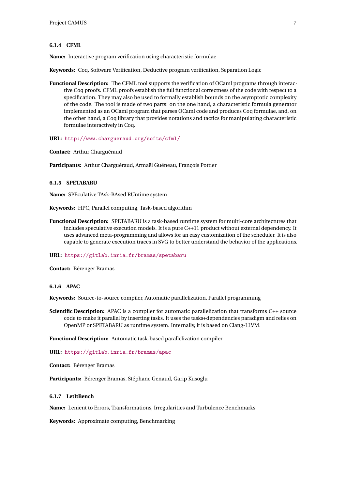#### <span id="page-9-0"></span>**6.1.4 CFML**

**Name:** Interactive program verification using characteristic formulae

**Keywords:** Coq, Software Verification, Deductive program verification, Separation Logic

**Functional Description:** The CFML tool supports the verification of OCaml programs through interactive Coq proofs. CFML proofs establish the full functional correctness of the code with respect to a specification. They may also be used to formally establish bounds on the asymptotic complexity of the code. The tool is made of two parts: on the one hand, a characteristic formula generator implemented as an OCaml program that parses OCaml code and produces Coq formulae, and, on the other hand, a Coq library that provides notations and tactics for manipulating characteristic formulae interactively in Coq.

**URL:** <http://www.chargueraud.org/softs/cfml/>

**Contact:** Arthur Charguéraud

**Participants:** Arthur Charguéraud, Armaël Guéneau, François Pottier

#### <span id="page-9-1"></span>**6.1.5 SPETABARU**

**Name:** SPEculative TAsk-BAsed RUntime system

**Keywords:** HPC, Parallel computing, Task-based algorithm

**Functional Description:** SPETABARU is a task-based runtime system for multi-core architectures that includes speculative execution models. It is a pure C++11 product without external dependency. It uses advanced meta-programming and allows for an easy customization of the scheduler. It is also capable to generate execution traces in SVG to better understand the behavior of the applications.

**URL:** <https://gitlab.inria.fr/bramas/spetabaru>

**Contact:** Bérenger Bramas

#### <span id="page-9-2"></span>**6.1.6 APAC**

**Keywords:** Source-to-source compiler, Automatic parallelization, Parallel programming

**Scientific Description:** APAC is a compiler for automatic parallelization that transforms C++ source code to make it parallel by inserting tasks. It uses the tasks+dependencies paradigm and relies on OpenMP or SPETABARU as runtime system. Internally, it is based on Clang-LLVM.

**Functional Description:** Automatic task-based parallelization compiler

**URL:** <https://gitlab.inria.fr/bramas/apac>

**Contact:** Bérenger Bramas

**Participants:** Bérenger Bramas, Stéphane Genaud, Garip Kusoglu

#### <span id="page-9-3"></span>**6.1.7 LetItBench**

**Name:** Lenient to Errors, Transformations, Irregularities and Turbulence Benchmarks

**Keywords:** Approximate computing, Benchmarking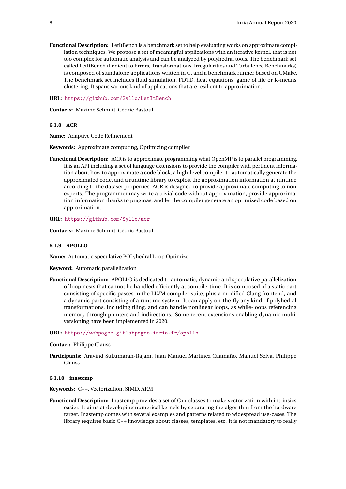**Functional Description:** LetItBench is a benchmark set to help evaluating works on approximate compilation techniques. We propose a set of meaningful applications with an iterative kernel, that is not too complex for automatic analysis and can be analyzed by polyhedral tools. The benchmark set called LetItBench (Lenient to Errors, Transformations, Irregularities and Turbulence Benchmarks) is composed of standalone applications written in C, and a benchmark runner based on CMake. The benchmark set includes fluid simulation, FDTD, heat equations, game of life or K-means clustering. It spans various kind of applications that are resilient to approximation.

**URL:** <https://github.com/Syllo/LetItBench>

**Contacts:** Maxime Schmitt, Cédric Bastoul

<span id="page-10-0"></span>**6.1.8 ACR**

**Name:** Adaptive Code Refinement

**Keywords:** Approximate computing, Optimizing compiler

**Functional Description:** ACR is to approximate programming what OpenMP is to parallel programming. It is an API including a set of language extensions to provide the compiler with pertinent information about how to approximate a code block, a high-level compiler to automatically generate the approximated code, and a runtime library to exploit the approximation information at runtime according to the dataset properties. ACR is designed to provide approximate computing to non experts. The programmer may write a trivial code without approximation, provide approximation information thanks to pragmas, and let the compiler generate an optimized code based on approximation.

**URL:** <https://github.com/Syllo/acr>

**Contacts:** Maxime Schmitt, Cédric Bastoul

#### <span id="page-10-1"></span>**6.1.9 APOLLO**

**Name:** Automatic speculative POLyhedral Loop Optimizer

**Keyword:** Automatic parallelization

**Functional Description:** APOLLO is dedicated to automatic, dynamic and speculative parallelization of loop nests that cannot be handled efficiently at compile-time. It is composed of a static part consisting of specific passes in the LLVM compiler suite, plus a modified Clang frontend, and a dynamic part consisting of a runtime system. It can apply on-the-fly any kind of polyhedral transformations, including tiling, and can handle nonlinear loops, as while-loops referencing memory through pointers and indirections. Some recent extensions enabling dynamic multiversioning have been implemented in 2020.

#### **URL:** <https://webpages.gitlabpages.inria.fr/apollo>

#### **Contact:** Philippe Clauss

**Participants:** Aravind Sukumaran-Rajam, Juan Manuel Martinez Caamaño, Manuel Selva, Philippe Clauss

#### <span id="page-10-2"></span>**6.1.10 inastemp**

**Keywords:** C++, Vectorization, SIMD, ARM

**Functional Description:** Inastemp provides a set of C++ classes to make vectorization with intrinsics easier. It aims at developing numerical kernels by separating the algorithm from the hardware target. Inastemp comes with several examples and patterns related to widespread use-cases. The library requires basic C++ knowledge about classes, templates, etc. It is not mandatory to really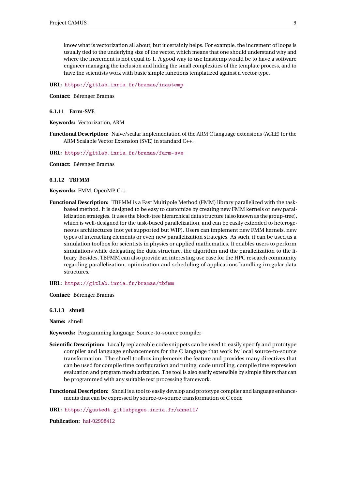know what is vectorization all about, but it certainly helps. For example, the increment of loops is usually tied to the underlying size of the vector, which means that one should understand why and where the increment is not equal to 1. A good way to use Inastemp would be to have a software engineer managing the inclusion and hiding the small complexities of the template process, and to have the scientists work with basic simple functions templatized against a vector type.

**URL:** <https://gitlab.inria.fr/bramas/inastemp>

**Contact:** Bérenger Bramas

#### <span id="page-11-0"></span>**6.1.11 Farm-SVE**

**Keywords:** Vectorization, ARM

**Functional Description:** Naive/scalar implementation of the ARM C language extensions (ACLE) for the ARM Scalable Vector Extension (SVE) in standard C++.

**URL:** <https://gitlab.inria.fr/bramas/farm-sve>

**Contact:** Bérenger Bramas

#### <span id="page-11-1"></span>**6.1.12 TBFMM**

#### **Keywords:** FMM, OpenMP, C++

**Functional Description:** TBFMM is a Fast Multipole Method (FMM) library parallelized with the taskbased method. It is designed to be easy to customize by creating new FMM kernels or new parallelization strategies. It uses the block-tree hierarchical data structure (also known as the group-tree), which is well-designed for the task-based parallelization, and can be easily extended to heterogeneous architectures (not yet supported but WIP). Users can implement new FMM kernels, new types of interacting elements or even new parallelization strategies. As such, it can be used as a simulation toolbox for scientists in physics or applied mathematics. It enables users to perform simulations while delegating the data structure, the algorithm and the parallelization to the library. Besides, TBFMM can also provide an interesting use case for the HPC research community regarding parallelization, optimization and scheduling of applications handling irregular data structures.

#### **URL:** <https://gitlab.inria.fr/bramas/tbfmm>

**Contact:** Bérenger Bramas

#### <span id="page-11-2"></span>**6.1.13 shnell**

**Name:** shnell

**Keywords:** Programming language, Source-to-source compiler

- **Scientific Description:** Locally replaceable code snippets can be used to easily specify and prototype compiler and language enhancements for the C language that work by local source-to-source transformation. The shnell toolbox implements the feature and provides many directives that can be used for compile time configuration and tuning, code unrolling, compile time expression evaluation and program modularization. The tool is also easily extensible by simple filters that can be programmed with any suitable text processing framework.
- **Functional Description:** Shnell is a tool to easily develop and prototype compiler and language enhancements that can be expressed by source-to-source transformation of C code

**URL:** <https://gustedt.gitlabpages.inria.fr/shnell/>

**Publication:** [hal-02998412](https://hal.inria.fr/hal-02998412)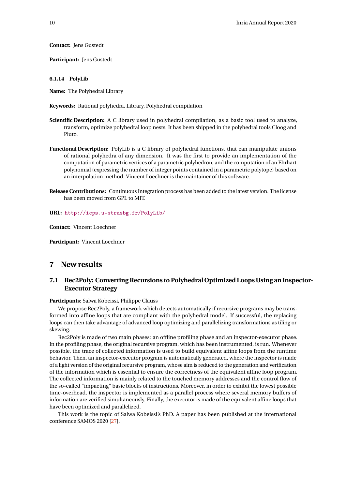**Contact:** Jens Gustedt

**Participant:** Jens Gustedt

#### <span id="page-12-0"></span>**6.1.14 PolyLib**

**Name:** The Polyhedral Library

- **Keywords:** Rational polyhedra, Library, Polyhedral compilation
- **Scientific Description:** A C library used in polyhedral compilation, as a basic tool used to analyze, transform, optimize polyhedral loop nests. It has been shipped in the polyhedral tools Cloog and Pluto.
- **Functional Description:** PolyLib is a C library of polyhedral functions, that can manipulate unions of rational polyhedra of any dimension. It was the first to provide an implementation of the computation of parametric vertices of a parametric polyhedron, and the computation of an Ehrhart polynomial (expressing the number of integer points contained in a parametric polytope) based on an interpolation method. Vincent Loechner is the maintainer of this software.
- **Release Contributions:** Continuous Integration process has been added to the latest version. The license has been moved from GPL to MIT.

**URL:** <http://icps.u-strasbg.fr/PolyLib/>

**Contact:** Vincent Loechner

**Participant:** Vincent Loechner

# <span id="page-12-1"></span>**7 New results**

# <span id="page-12-2"></span>**7.1 Rec2Poly: Converting Recursions to Polyhedral Optimized Loops Using an Inspector-Executor Strategy**

#### **Participants**: Salwa Kobeissi, Philippe Clauss

We propose Rec2Poly, a framework which detects automatically if recursive programs may be transformed into affine loops that are compliant with the polyhedral model. If successful, the replacing loops can then take advantage of advanced loop optimizing and parallelizing transformations as tiling or skewing.

Rec2Poly is made of two main phases: an offline profiling phase and an inspector-executor phase. In the profiling phase, the original recursive program, which has been instrumented, is run. Whenever possible, the trace of collected information is used to build equivalent affine loops from the runtime behavior. Then, an inspector-executor program is automatically generated, where the inspector is made of a light version of the original recursive program, whose aim is reduced to the generation and verification of the information which is essential to ensure the correctness of the equivalent affine loop program. The collected information is mainly related to the touched memory addresses and the control flow of the so-called "impacting" basic blocks of instructions. Moreover, in order to exhibit the lowest possible time-overhead, the inspector is implemented as a parallel process where several memory buffers of information are verified simultaneously. Finally, the executor is made of the equivalent affine loops that have been optimized and parallelized.

This work is the topic of Salwa Kobeissi's PhD. A paper has been published at the international conference SAMOS 2020 [\[27\]](#page-23-3).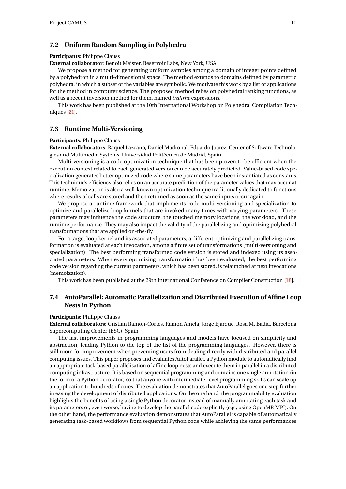# <span id="page-13-0"></span>**7.2 Uniform Random Sampling in Polyhedra**

#### **Participants**: Philippe Clauss

**External collaborator**: Benoît Meister, Reservoir Labs, New York, USA

We propose a method for generating uniform samples among a domain of integer points defined by a polyhedron in a multi-dimensional space. The method extends to domains defined by parametric polyhedra, in which a subset of the variables are symbolic. We motivate this work by a list of applications for the method in computer science. The proposed method relies on polyhedral ranking functions, as well as a recent inversion method for them, named *trahrhe* expressions.

This work has been published at the 10th International Workshop on Polyhedral Compilation Techniques [\[21\]](#page-22-0).

# <span id="page-13-1"></span>**7.3 Runtime Multi-Versioning**

#### **Participants**: Philippe Clauss

**External collaborators**: Raquel Lazcano, Daniel Madroñal, Eduardo Juarez, Center of Software Technologies and Multimedia Systems, Universidad Politécnica de Madrid, Spain

Multi-versioning is a code optimization technique that has been proven to be efficient when the execution context related to each generated version can be accurately predicted. Value-based code specialization generates better optimized code where some parameters have been instantiated as constants. This technique's efficiency also relies on an accurate prediction of the parameter values that may occur at runtime. Memoization is also a well-known optimization technique traditionally dedicated to functions where results of calls are stored and then returned as soon as the same inputs occur again.

We propose a runtime framework that implements code multi-versioning and specialization to optimize and parallelize loop kernels that are invoked many times with varying parameters. These parameters may influence the code structure, the touched memory locations, the workload, and the runtime performance. They may also impact the validity of the parallelizing and optimizing polyhedral transformations that are applied on-the-fly.

For a target loop kernel and its associated parameters, a different optimizing and parallelizing transformation is evaluated at each invocation, among a finite set of transformations (multi-versioning and specialization). The best performing transformed code version is stored and indexed using its associated parameters. When every optimizing transformation has been evaluated, the best performing code version regarding the current parameters, which has been stored, is relaunched at next invocations (memoization).

This work has been published at the 29th International Conference on Compiler Construction [\[18\]](#page-22-1).

# <span id="page-13-2"></span>**7.4 AutoParallel: Automatic Parallelization and Distributed Execution of Affine Loop Nests in Python**

#### **Participants**: Philippe Clauss

**External collaborators**: Cristian Ramon-Cortes, Ramon Amela, Jorge Ejarque, Rosa M. Badia, Barcelona Supercomputing Center (BSC), Spain

The last improvements in programming languages and models have focused on simplicity and abstraction, leading Python to the top of the list of the programming languages. However, there is still room for improvement when preventing users from dealing directly with distributed and parallel computing issues. This paper proposes and evaluates AutoParallel, a Python module to automatically find an appropriate task-based parallelisation of affine loop nests and execute them in parallel in a distributed computing infrastructure. It is based on sequential programming and contains one single annotation (in the form of a Python decorator) so that anyone with intermediate-level programming skills can scale up an application to hundreds of cores. The evaluation demonstrates that AutoParallel goes one step further in easing the development of distributed applications. On the one hand, the programmability evaluation highlights the benefits of using a single Python decorator instead of manually annotating each task and its parameters or, even worse, having to develop the parallel code explicitly (e.g., using OpenMP, MPI). On the other hand, the performance evaluation demonstrates that AutoParallel is capable of automatically generating task-based workflows from sequential Python code while achieving the same performances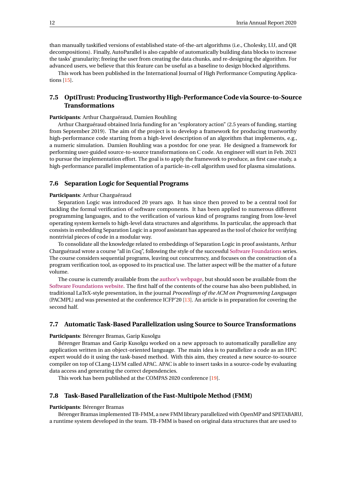than manually taskified versions of established state-of-the-art algorithms (i.e., Cholesky, LU, and QR decompositions). Finally, AutoParallel is also capable of automatically building data blocks to increase the tasks' granularity; freeing the user from creating the data chunks, and re-designing the algorithm. For advanced users, we believe that this feature can be useful as a baseline to design blocked algorithms.

This work has been published in the International Journal of High Performance Computing Applications [\[15\]](#page-22-2).

# <span id="page-14-0"></span>**7.5 OptiTrust: Producing Trustworthy High-Performance Code via Source-to-Source Transformations**

#### **Participants**: Arthur Charguéraud, Damien Rouhling

Arthur Charguéraud obtained Inria funding for an "exploratory action" (2.5 years of funding, starting from September 2019). The aim of the project is to develop a framework for producing trustworthy high-performance code starting from a high-level description of an algorithm that implements, e.g., a numeric simulation. Damien Rouhling was a postdoc for one year. He designed a framework for performing user-guided source-to-source transformations on C code. An engineer will start in Feb. 2021 to pursue the implementation effort. The goal is to apply the framework to produce, as first case study, a high-performance parallel implementation of a particle-in-cell algorithm used for plasma simulations.

## <span id="page-14-1"></span>**7.6 Separation Logic for Sequential Programs**

#### **Participants**: Arthur Charguéraud

Separation Logic was introduced 20 years ago. It has since then proved to be a central tool for tackling the formal verification of software components. It has been applied to numerous different programming languages, and to the verification of various kind of programs ranging from low-level operating system kernels to high-level data structures and algorithms. In particular, the approach that consists in embedding Separation Logic in a proof assistant has appeared as the tool of choice for verifying nontrivial pieces of code in a modular way.

To consolidate all the knowledge related to embeddings of Separation Logic in proof assistants, Arthur Charguéraud wrote a course "all in Coq", following the style of the successful [Software Foundations](https://softwarefoundations.cis.upenn.edu/) series. The course considers sequential programs, leaving out concurrency, and focuses on the construction of a program verification tool, as opposed to its practical use. The latter aspect will be the matter of a future volume.

The course is currently available from the [author's webpage,](http://arthur.chargueraud.org/teach/verif/) but should soon be available from the [Software Foundations website.](https://softwarefoundations.cis.upenn.edu/) The first half of the contents of the course has also been published, in traditional LaTeX-style presentation, in the journal *Proceedings of the ACM on Programming Languages* (PACMPL) and was presented at the conference ICFP'20 [\[13\]](#page-22-3). An article is in preparation for covering the second half.

# <span id="page-14-2"></span>**7.7 Automatic Task-Based Parallelization using Source to Source Transformations**

**Participants**: Bérenger Bramas, Garip Kusolgu

Bérenger Bramas and Garip Kusolgu worked on a new approach to automatically parallelize any application written in an object-oriented language. The main idea is to parallelize a code as an HPC expert would do it using the task-based method. With this aim, they created a new source-to-source compiler on top of CLang-LLVM called APAC. APAC is able to insert tasks in a source-code by evaluating data access and generating the correct dependencies.

This work has been published at the COMPAS 2020 conference [\[19\]](#page-22-4).

# <span id="page-14-3"></span>**7.8 Task-Based Parallelization of the Fast-Multipole Method (FMM)**

#### **Participants**: Bérenger Bramas

Bérenger Bramas implemented TB-FMM, a new FMM library parallelized with OpenMP and SPETABARU, a runtime system developed in the team. TB-FMM is based on original data structures that are used to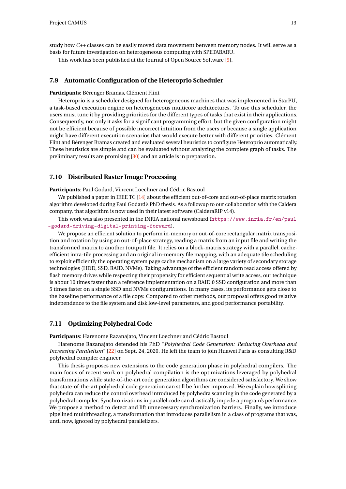study how *C++* classes can be easily moved data movement between memory nodes. It will serve as a basis for future investigation on heterogeneous computing with SPETABARU.

This work has been published at the Journal of Open Source Software [\[9\]](#page-21-3).

# <span id="page-15-0"></span>**7.9 Automatic Configuration of the Heteroprio Scheduler**

#### **Participants**: Bérenger Bramas, Clément Flint

Heteroprio is a scheduler designed for heterogeneous machines that was implemented in StarPU, a task-based execution engine on heterogeneous multicore architectures. To use this scheduler, the users must tune it by providing priorities for the different types of tasks that exist in their applications. Consequently, not only it asks for a significant programming effort, but the given configuration might not be efficient because of possible incorrect intuition from the users or because a single application might have different execution scenarios that would execute better with different priorities. Clément Flint and Bérenger Bramas created and evaluated several heuristics to configure Heteroprio automatically. These heuristics are simple and can be evaluated without analyzing the complete graph of tasks. The preliminary results are promising [\[30\]](#page-23-4) and an article is in preparation.

#### <span id="page-15-1"></span>**7.10 Distributed Raster Image Processing**

**Participants**: Paul Godard, Vincent Loechner and Cédric Bastoul

We published a paper in IEEE TC [\[14\]](#page-22-5) about the efficient out-of-core and out-of-place matrix rotation algorithm developed during Paul Godard's PhD thesis. As a followup to our collaboration with the Caldera company, that algorithm is now used in their latest software (CalderaRIP v14).

This work was also presented in the INRIA national newsboard ([https://www.inria.fr/en/paul](https://www.inria.fr/en/paul-godard-driving-digital-printing-forward) [-godard-driving-digital-printing-forward](https://www.inria.fr/en/paul-godard-driving-digital-printing-forward)).

We propose an efficient solution to perform in-memory or out-of-core rectangular matrix transposition and rotation by using an out-of-place strategy, reading a matrix from an input file and writing the transformed matrix to another (output) file. It relies on a block-matrix strategy with a parallel, cacheefficient intra-tile processing and an original in-memory file mapping, with an adequate tile scheduling to exploit efficiently the operating system page cache mechanism on a large variety of secondary storage technologies (HDD, SSD, RAID, NVMe). Taking advantage of the efficient random read access offered by flash memory drives while respecting their propensity for efficient sequential write access, our technique is about 10 times faster than a reference implementation on a RAID 0 SSD configuration and more than 5 times faster on a single SSD and NVMe configurations. In many cases, its performance gets close to the baseline performance of a file copy. Compared to other methods, our proposal offers good relative independence to the file system and disk low-level parameters, and good performance portability.

# <span id="page-15-2"></span>**7.11 Optimizing Polyhedral Code**

**Participants**: Harenome Razanajato, Vincent Loechner and Cédric Bastoul

Harenome Razanajato defended his PhD "*Polyhedral Code Generation: Reducing Overhead and Increasing Parallelism*" [\[22\]](#page-22-6) on Sept. 24, 2020. He left the team to join Huawei Paris as consulting R&D polyhedral compiler engineer.

This thesis proposes new extensions to the code generation phase in polyhedral compilers. The main focus of recent work on polyhedral compilation is the optimizations leveraged by polyhedral transformations while state-of-the-art code generation algorithms are considered satisfactory. We show that state-of-the-art polyhedral code generation can still be further improved. We explain how splitting polyhedra can reduce the control overhead introduced by polyhedra scanning in the code generated by a polyhedral compiler. Synchronizations in parallel code can drastically impede a program's performance. We propose a method to detect and lift unnecessary synchronization barriers. Finally, we introduce pipelined multithreading, a transformation that introduces parallelism in a class of programs that was, until now, ignored by polyhedral parallelizers.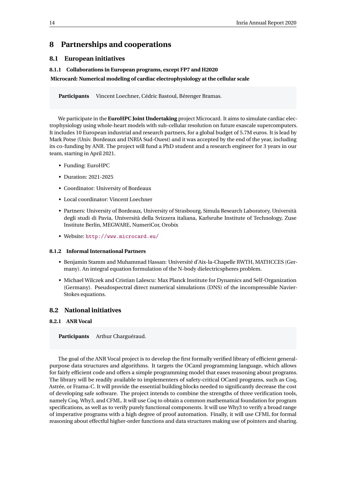# <span id="page-16-0"></span>**8 Partnerships and cooperations**

# <span id="page-16-1"></span>**8.1 European initiatives**

## <span id="page-16-2"></span>**8.1.1 Collaborations in European programs, except FP7 and H2020**

#### **Microcard: Numerical modeling of cardiac electrophysiology at the cellular scale**

**Participants** Vincent Loechner, Cédric Bastoul, Bérenger Bramas.

We participate in the **EuroHPC Joint Undertaking** project Microcard. It aims to simulate cardiac electrophysiology using whole-heart models with sub-cellular resolution on future exascale supercomputers. It includes 10 European industrial and research partners, for a global budget of 5.7M euros. It is lead by Mark Potse (Univ. Bordeaux and INRIA Sud-Ouest) and it was accepted by the end of the year, including its co-funding by ANR. The project will fund a PhD student and a research engineer for 3 years in our team, starting in April 2021.

- Funding: EuroHPC
- Duration: 2021-2025
- Coordinator: University of Bordeaux
- Local coordinator: Vincent Loechner
- Partners: University of Bordeaux, University of Strasbourg, Simula Research Laboratory, Università degli studi di Pavia, Università della Svizzera italiana, Karlsruhe Institute of Technology, Zuse Institute Berlin, MEGWARE, NumeriCor, Orobix
- Website: <http://www.microcard.eu/>

#### <span id="page-16-3"></span>**8.1.2 Informal International Partners**

- Benjamin Stamm and Muhammad Hassan: Université d'Aix-la-Chapelle RWTH, MATHCCES (Germany). An integral equation formulation of the N-body dielectricspheres problem.
- Michael Wilczek and Cristian Lalescu: Max Planck Institute for Dynamics and Self-Organization (Germany). Pseudospectral direct numerical simulations (DNS) of the incompressible Navier-Stokes equations.

# <span id="page-16-4"></span>**8.2 National initiatives**

#### <span id="page-16-5"></span>**8.2.1 ANR Vocal**

**Participants** Arthur Charguéraud.

The goal of the ANR Vocal project is to develop the first formally verified library of efficient generalpurpose data structures and algorithms. It targets the OCaml programming language, which allows for fairly efficient code and offers a simple programming model that eases reasoning about programs. The library will be readily available to implementers of safety-critical OCaml programs, such as Coq, Astrée, or Frama-C. It will provide the essential building blocks needed to significantly decrease the cost of developing safe software. The project intends to combine the strengths of three verification tools, namely Coq, Why3, and CFML. It will use Coq to obtain a common mathematical foundation for program specifications, as well as to verify purely functional components. It will use Why3 to verify a broad range of imperative programs with a high degree of proof automation. Finally, it will use CFML for formal reasoning about effectful higher-order functions and data structures making use of pointers and sharing.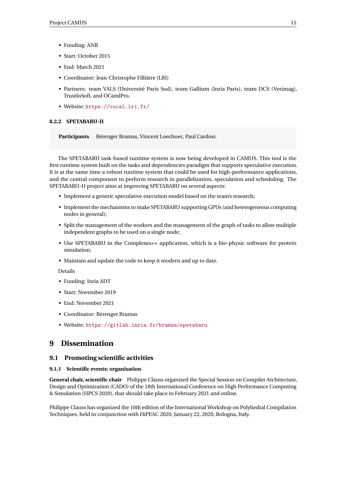- Funding: ANR
- Start: October 2015
- End: March 2021
- Coordinator: Jean-Christophe Filliâtre (LRI)
- Partners: team VALS (Université Paris Sud), team Gallium (Inria Paris), team DCS (Verimag), TrustInSoft, and OCamlPro.
- Website: <https://vocal.lri.fr/>

#### <span id="page-17-0"></span>**8.2.2 SPETABARU-H**

**Participants** Bérenger Bramas, Vincent Loechner, Paul Cardosi.

The SPETABARU task-based runtime system is now being developed in CAMUS. This tool is the first runtime system built on the tasks and dependencies paradigm that supports speculative execution. It is at the same time a robust runtime system that could be used for high-performance applications, and the central component to perform research in parallelization, speculation and scheduling. The SPETABARU-H project aims at improving SPETABARU on several aspects:

- Implement a generic speculative execution model based on the team's research;
- Implement the mechanisms to make SPETABARU supporting GPUs (and heterogeneous computing nodes in general);
- Split the management of the workers and the management of the graph of tasks to allow multiple independent graphs to be used on a single node;
- Use SPETABARU in the Complexes++ application, which is a bio-physic software for protein simulation;
- Maintain and update the code to keep it modern and up to date.

Details

- Funding: Inria ADT
- Start: November 2019
- End: November 2021
- Coordinator: Bérenger Bramas
- Website: <https://gitlab.inria.fr/bramas/spetabaru>

# <span id="page-17-1"></span>**9 Dissemination**

# <span id="page-17-2"></span>**9.1 Promoting scientific activities**

#### <span id="page-17-3"></span>**9.1.1 Scientific events: organisation**

**General chair, scientific chair** Philippe Clauss organized the Special Session on Compiler Architecture, Design and Optimization (CADO) of the 18th International Conference on High Performance Computing & Simulation (HPCS 2020), that should take place in February 2021 and online.

Philippe Clauss has organized the 10th edition of the International Workshop on Polyhedral Compilation Techniques, held in conjunction with HiPEAC 2020, January 22, 2020, Bologna, Italy.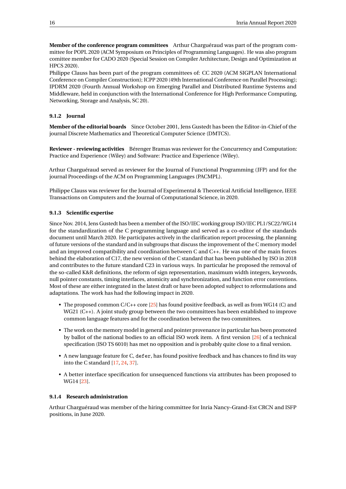**Member of the conference program committees** Arthur Charguéraud was part of the program committee for POPL 2020 (ACM Symposium on Principles of Programming Languages). He was also program comittee member for CADO 2020 (Special Session on Compiler Architecture, Design and Optimization at HPCS 2020).

Philippe Clauss has been part of the program committees of: CC 2020 (ACM SIGPLAN International Conference on Compiler Construction); ICPP 2020 (49th International Conference on Parallel Processing); IPDRM 2020 (Fourth Annual Workshop on Emerging Parallel and Distributed Runtime Systems and Middleware, held in conjunction with the International Conference for High Performance Computing, Networking, Storage and Analysis, SC 20).

#### <span id="page-18-0"></span>**9.1.2 Journal**

**Member of the editorial boards** Since October 2001, Jens Gustedt has been the Editor-in-Chief of the journal Discrete Mathematics and Theoretical Computer Science (DMTCS).

**Reviewer - reviewing activities** Bérenger Bramas was reviewer for the Concurrency and Computation: Practice and Experience (Wiley) and Software: Practice and Experience (Wiley).

Arthur Charguéraud served as reviewer for the Journal of Functional Programming (JFP) and for the journal Proceedings of the ACM on Programming Languages (PACMPL).

Philippe Clauss was reviewer for the Journal of Experimental & Theoretical Artificial Intelligence, IEEE Transactions on Computers and the Journal of Computational Science, in 2020.

#### <span id="page-18-1"></span>**9.1.3 Scientific expertise**

Since Nov. 2014, Jens Gustedt has been a member of the ISO/IEC working group ISO/IEC PL1/SC22/WG14 for the standardization of the C programming language and served as a co-editor of the standards document until March 2020. He participates actively in the clarification report processing, the planning of future versions of the standard and in subgroups that discuss the improvement of the C memory model and an improved compatibility and coordination between C and C++. He was one of the main forces behind the elaboration of C17, the new version of the C standard that has been published by ISO in 2018 and contributes to the future standard C23 in various ways. In particular he proposed the removal of the so-called K&R definitions, the reform of sign representation, maximum width integers, keywords, null pointer constants, timing interfaces, atomicity and synchronization, and function error conventions. Most of these are either integrated in the latest draft or have been adopted subject to reformulations and adaptations. The work has had the following impact in 2020.

- The proposed common C/C++ core [\[25\]](#page-22-7) has found positive feedback, as well as from WG14 (C) and WG21 (C++). A joint study group between the two committees has been established to improve common language features and for the coordination between the two committees.
- The work on the memory model in general and pointer provenance in particular has been promoted by ballot of the national bodies to an official ISO work item. A first version [\[26\]](#page-23-5) of a technical specification (ISO TS 6010) has met no opposition and is probably quite close to a final version.
- A new language feature for C, defer, has found positive feedback and has chances to find its way into the C standard [\[17,](#page-22-8) [24,](#page-22-9) [37\]](#page-23-6).
- A better interface specification for unsequenced functions via attributes has been proposed to WG14 [\[23\]](#page-22-10).

# <span id="page-18-2"></span>**9.1.4 Research administration**

Arthur Charguéraud was member of the hiring committee for Inria Nancy–Grand-Est CRCN and ISFP positions, in June 2020.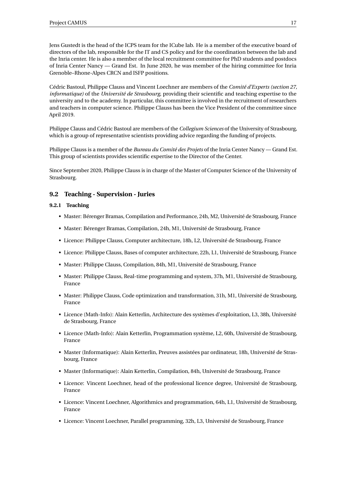Jens Gustedt is the head of the ICPS team for the ICube lab. He is a member of the executive board of directors of the lab, responsible for the IT and CS policy and for the coordination between the lab and the Inria center. He is also a member of the local recruitment committee for PhD students and postdocs of Inria Center Nancy — Grand Est. In June 2020, he was member of the hiring committee for Inria Grenoble–Rhone-Alpes CRCN and ISFP positions.

Cédric Bastoul, Philippe Clauss and Vincent Loechner are members of the *Comité d'Experts (section 27, informatique)* of the *Université de Strasbourg*, providing their scientific and teaching expertise to the university and to the academy. In particular, this committee is involved in the recruitment of researchers and teachers in computer science. Philippe Clauss has been the Vice President of the committee since April 2019.

Philippe Clauss and Cédric Bastoul are members of the *Collegium Sciences* of the University of Strasbourg, which is a group of representative scientists providing advice regarding the funding of projects.

Philippe Clauss is a member of the *Bureau du Comité des Projets* of the Inria Center Nancy — Grand Est. This group of scientists provides scientific expertise to the Director of the Center.

Since September 2020, Philippe Clauss is in charge of the Master of Computer Science of the University of Strasbourg.

# <span id="page-19-0"></span>**9.2 Teaching - Supervision - Juries**

## <span id="page-19-1"></span>**9.2.1 Teaching**

- Master: Bérenger Bramas, Compilation and Performance, 24h, M2, Université de Strasbourg, France
- Master: Bérenger Bramas, Compilation, 24h, M1, Université de Strasbourg, France
- Licence: Philippe Clauss, Computer architecture, 18h, L2, Université de Strasbourg, France
- Licence: Philippe Clauss, Bases of computer architecture, 22h, L1, Université de Strasbourg, France
- Master: Philippe Clauss, Compilation, 84h, M1, Université de Strasbourg, France
- Master: Philippe Clauss, Real-time programming and system, 37h, M1, Université de Strasbourg, France
- Master: Philippe Clauss, Code optimization and transformation, 31h, M1, Université de Strasbourg, France
- Licence (Math-Info): Alain Ketterlin, Architecture des systèmes d'exploitation, L3, 38h, Université de Strasbourg, France
- Licence (Math-Info): Alain Ketterlin, Programmation système, L2, 60h, Université de Strasbourg, France
- Master (Informatique): Alain Ketterlin, Preuves assistées par ordinateur, 18h, Université de Strasbourg, France
- Master (Informatique): Alain Ketterlin, Compilation, 84h, Université de Strasbourg, France
- Licence: Vincent Loechner, head of the professional licence degree, Université de Strasbourg, France
- Licence: Vincent Loechner, Algorithmics and programmation, 64h, L1, Université de Strasbourg, France
- Licence: Vincent Loechner, Parallel programming, 32h, L3, Université de Strasbourg, France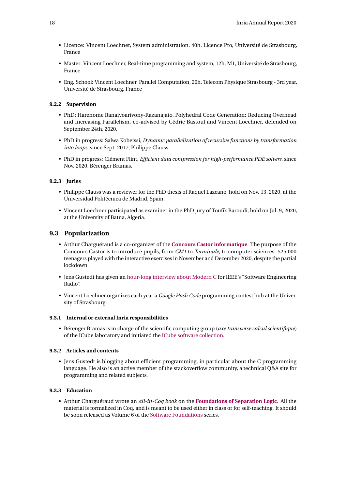- Licence: Vincent Loechner, System administration, 40h, Licence Pro, Université de Strasbourg, France
- Master: Vincent Loechner, Real-time programming and system, 12h, M1, Université de Strasbourg, France
- Eng. School: Vincent Loechner, Parallel Computation, 20h, Telecom Physique Strasbourg 3rd year, Université de Strasbourg, France

#### <span id="page-20-0"></span>**9.2.2 Supervision**

- PhD: Harenome Ranaivoarivony-Razanajato, Polyhedral Code Generation: Reducing Overhead and Increasing Parallelism, co-advised by Cédric Bastoul and Vincent Loechner, defended on September 24th, 2020.
- PhD in progress: Salwa Kobeissi, *Dynamic parallelization of recursive functions by transformation into loops*, since Sept. 2017, Philippe Clauss.
- PhD in progress: Clément Flint, *Efficient data compression for high-performance PDE solvers*, since Nov. 2020, Bérenger Bramas.

#### <span id="page-20-1"></span>**9.2.3 Juries**

- Philippe Clauss was a reviewer for the PhD thesis of Raquel Lazcano, hold on Nov. 13, 2020, at the Universidad Politécnica de Madrid, Spain.
- Vincent Loechner participated as examiner in the PhD jury of Toufik Baroudi, hold on Jul. 9, 2020, at the University of Batna, Algeria.

#### <span id="page-20-2"></span>**9.3 Popularization**

- Arthur Charguéraud is a co-organizer of the **[Concours Castor informatique](http://castor-informatique.fr/)**. The purpose of the Concours Castor is to introduce pupils, from *CM1* to *Terminale*, to computer sciences. 525,000 teenagers played with the interactive exercises in November and December 2020, despite the partial lockdown.
- Jens Gustedt has given an [hour-long interview about Modern C](https://www.se-radio.net/2020/06/episode-414-jens-gustedt-on-modern-c/) for IEEE's "Software Engineering Radio".
- Vincent Loechner organizes each year a *Google Hash Code* programming contest hub at the University of Strasbourg.

#### <span id="page-20-3"></span>**9.3.1 Internal or external Inria responsibilities**

• Bérenger Bramas is in charge of the scientific computing group (*axe transverse calcul scientifique*) of the ICube laboratory and initiated the [ICube software collection.](https://bramas.pages.unistra.fr/icube-software-repository/)

#### <span id="page-20-4"></span>**9.3.2 Articles and contents**

• Jens Gustedt is blogging about efficient programming, in particular about the C programming language. He also is an active member of the stackoverflow community, a technical Q&A site for programming and related subjects.

# <span id="page-20-5"></span>**9.3.3 Education**

• Arthur Charguéraud wrote an *all-in-Coq book* on the **[Foundations of Separation Logic](http://arthur.chargueraud.org/teach/verif/)**. All the material is formalized in Coq, and is meant to be used either in class or for self-teaching. It should be soon released as Volume 6 of the [Software Foundations](https://softwarefoundations.cis.upenn.edu/) series.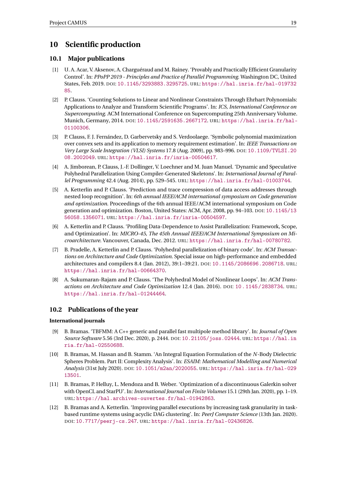# <span id="page-21-0"></span>**10 Scientific production**

# <span id="page-21-1"></span>**10.1 Major publications**

- [1] U. A. Acar, V. Aksenov, A. Charguéraud and M. Rainey. 'Provably and Practically Efficient Granularity Control'. In: *PPoPP 2019 - Principles and Practice of Parallel Programming*. Washington DC, United States, Feb. 2019. DOI: [10.1145/3293883.3295725](https://doi.org/10.1145/3293883.3295725). URL: [https://hal.inria.fr/hal-019732](https://hal.inria.fr/hal-01973285) [85](https://hal.inria.fr/hal-01973285).
- [2] P. Clauss. 'Counting Solutions to Linear and Nonlinear Constraints Through Ehrhart Polynomials: Applications to Analyze and Transform Scientific Programs'. In: *ICS, International Conference on Supercomputing*. ACM International Conference on Supercomputing 25th Anniversary Volume. Munich, Germany, 2014. DOI: [10.1145/2591635.2667172](https://doi.org/10.1145/2591635.2667172). URL: [https://hal.inria.fr/hal-](https://hal.inria.fr/hal-01100306)[01100306](https://hal.inria.fr/hal-01100306).
- [3] P. Clauss, F. J. Fernández, D. Garbervetsky and S. Verdoolaege. 'Symbolic polynomial maximization over convex sets and its application to memory requirement estimation'. In: *IEEE Transactions on Very Large Scale Integration (VLSI) Systems* 17.8 (Aug. 2009), pp. 983–996. DOI: [10.1109/TVLSI.20](https://doi.org/10.1109/TVLSI.2008.2002049) [08.2002049](https://doi.org/10.1109/TVLSI.2008.2002049). URL: <https://hal.inria.fr/inria-00504617>.
- [4] A. Jimborean, P. Clauss, J.-F. Dollinger, V. Loechner and M. Juan Manuel. 'Dynamic and Speculative Polyhedral Parallelization Using Compiler-Generated Skeletons'. In: *International Journal of Parallel Programming* 42.4 (Aug. 2014), pp. 529–545. URL: <https://hal.inria.fr/hal-01003744>.
- [5] A. Ketterlin and P. Clauss. 'Prediction and trace compression of data access addresses through nested loop recognition'. In: *6th annual IEEE/ACM international symposium on Code generation and optimization*. Proceedings of the 6th annual IEEE/ACM international symposium on Code generation and optimization. Boston, United States: ACM, Apr. 2008, pp. 94–103. DOI: [10.1145/13](https://doi.org/10.1145/1356058.1356071) [56058.1356071](https://doi.org/10.1145/1356058.1356071). URL: <https://hal.inria.fr/inria-00504597>.
- [6] A. Ketterlin and P. Clauss. 'Profiling Data-Dependence to Assist Parallelization: Framework, Scope, and Optimization'. In: *MICRO-45, The 45th Annual IEEE/ACM International Symposium on Microarchitecture*. Vancouver, Canada, Dec. 2012. URL: <https://hal.inria.fr/hal-00780782>.
- [7] B. Pradelle, A. Ketterlin and P. Clauss. 'Polyhedral parallelization of binary code'. In: *ACM Transactions on Architecture and Code Optimization*. Special issue on high-performance and embedded architectures and compilers 8.4 (Jan. 2012), 39:1–39:21. DOI: [10.1145/2086696.2086718](https://doi.org/10.1145/2086696.2086718). URL: <https://hal.inria.fr/hal-00664370>.
- [8] A. Sukumaran-Rajam and P. Clauss. 'The Polyhedral Model of Nonlinear Loops'. In: *ACM Transactions on Architecture and Code Optimization* 12.4 (Jan. 2016). DOI: [10.1145/2838734](https://doi.org/10.1145/2838734). URL: <https://hal.inria.fr/hal-01244464>.

# <span id="page-21-2"></span>**10.2 Publications of the year**

# **International journals**

- <span id="page-21-3"></span>[9] B. Bramas. 'TBFMM: A C++ generic and parallel fast multipole method library'. In: *Journal of Open Source Software* 5.56 (3rd Dec. 2020), p. 2444. DOI: [10.21105/joss.02444](https://doi.org/10.21105/joss.02444). URL: [https://hal.in](https://hal.inria.fr/hal-02550688) [ria.fr/hal-02550688](https://hal.inria.fr/hal-02550688).
- [10] B. Bramas, M. Hassan and B. Stamm. 'An Integral Equation Formulation of the *N*-Body Dielectric Spheres Problem. Part II: Complexity Analysis'. In: *ESAIM: Mathematical Modelling and Numerical Analysis* (31st July 2020). DOI: [10.1051/m2an/2020055](https://doi.org/10.1051/m2an/2020055). URL: [https://hal.inria.fr/hal-029](https://hal.inria.fr/hal-02913501) [13501](https://hal.inria.fr/hal-02913501).
- [11] B. Bramas, P. Helluy, L. Mendoza and B. Weber. 'Optimization of a discontinuous Galerkin solver with OpenCL and StarPU'. In: *International Journal on Finite Volumes* 15.1 (29th Jan. 2020), pp. 1–19. URL: <https://hal.archives-ouvertes.fr/hal-01942863>.
- [12] B. Bramas and A. Ketterlin. 'Improving parallel executions by increasing task granularity in taskbased runtime systems using acyclic DAG clustering'. In: *PeerJ Computer Science* (13th Jan. 2020). DOI: [10.7717/peerj-cs.247](https://doi.org/10.7717/peerj-cs.247). URL: <https://hal.inria.fr/hal-02436826>.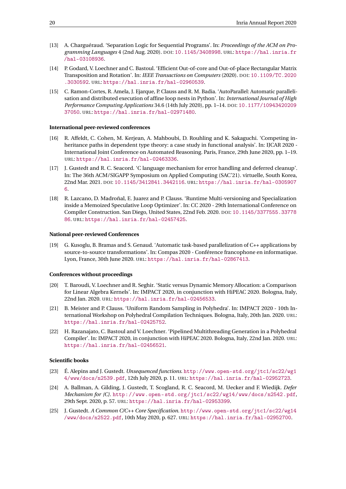- <span id="page-22-3"></span>[13] A. Charguéraud. 'Separation Logic for Sequential Programs'. In: *Proceedings of the ACM on Programming Languages* 4 (2nd Aug. 2020). DOI: [10.1145/3408998](https://doi.org/10.1145/3408998). URL: [https://hal.inria.fr](https://hal.inria.fr/hal-03108936) [/hal-03108936](https://hal.inria.fr/hal-03108936).
- <span id="page-22-5"></span>[14] P. Godard, V. Loechner and C. Bastoul. 'Efficient Out-of-core and Out-of-place Rectangular Matrix Transposition and Rotation'. In: *IEEE Transactions on Computers* (2020). DOI: [10.1109/TC.2020](https://doi.org/10.1109/TC.2020.3030592) [.3030592](https://doi.org/10.1109/TC.2020.3030592). URL: <https://hal.inria.fr/hal-02960539>.
- <span id="page-22-2"></span>[15] C. Ramon-Cortes, R. Amela, J. Ejarque, P. Clauss and R. M. Badia. 'AutoParallel: Automatic parallelisation and distributed execution of affine loop nests in Python'. In: *International Journal of High Performance Computing Applications* 34.6 (14th July 2020), pp. 1–14. DOI: [10.1177/10943420209](https://doi.org/10.1177/1094342020937050) [37050](https://doi.org/10.1177/1094342020937050). URL: <https://hal.inria.fr/hal-02971480>.

#### **International peer-reviewed conferences**

- [16] R. Affeldt, C. Cohen, M. Kerjean, A. Mahboubi, D. Rouhling and K. Sakaguchi. 'Competing inheritance paths in dependent type theory: a case study in functional analysis'. In: IJCAR 2020 - International Joint Conference on Automated Reasoning. Paris, France, 29th June 2020, pp. 1–19. URL: <https://hal.inria.fr/hal-02463336>.
- <span id="page-22-8"></span>[17] J. Gustedt and R. C. Seacord. 'C language mechanism for error handling and deferred cleanup'. In: The 36th ACM/SIGAPP Symposium on Applied Computing (SAC'21). virtuelle, South Korea, 22nd Mar. 2021. DOI: [10.1145/3412841.3442116](https://doi.org/10.1145/3412841.3442116). URL: [https://hal.inria.fr/hal-0305907](https://hal.inria.fr/hal-03059076) [6](https://hal.inria.fr/hal-03059076).
- <span id="page-22-1"></span>[18] R. Lazcano, D. Madroñal, E. Juarez and P. Clauss. 'Runtime Multi-versioning and Specialization inside a Memoized Speculative Loop Optimizer'. In: CC 2020 - 29th International Conference on Compiler Construction. San Diego, United States, 22nd Feb. 2020. DOI: [10.1145/3377555.33778](https://doi.org/10.1145/3377555.3377886) [86](https://doi.org/10.1145/3377555.3377886). URL: <https://hal.inria.fr/hal-02457425>.

#### **National peer-reviewed Conferences**

<span id="page-22-4"></span>[19] G. Kusoglu, B. Bramas and S. Genaud. 'Automatic task-based parallelization of C++ applications by source-to-source transformations'. In: Compas 2020 - Conférence francophone en informatique. Lyon, France, 30th June 2020. URL: <https://hal.inria.fr/hal-02867413>.

#### **Conferences without proceedings**

- [20] T. Baroudi, V. Loechner and R. Seghir. 'Static versus Dynamic Memory Allocation: a Comparison for Linear Algebra Kernels'. In: IMPACT 2020, in conjunction with HiPEAC 2020. Bologna, Italy, 22nd Jan. 2020. URL: <https://hal.inria.fr/hal-02456533>.
- <span id="page-22-0"></span>[21] B. Meister and P. Clauss. 'Uniform Random Sampling in Polyhedra'. In: IMPACT 2020 - 10th International Workshop on Polyhedral Compilation Techniques. Bologna, Italy, 20th Jan. 2020. URL: <https://hal.inria.fr/hal-02425752>.
- <span id="page-22-6"></span>[22] H. Razanajato, C. Bastoul and V. Loechner. 'Pipelined Multithreading Generation in a Polyhedral Compiler'. In: IMPACT 2020, in conjunction with HiPEAC 2020. Bologna, Italy, 22nd Jan. 2020. URL: <https://hal.inria.fr/hal-02456521>.

#### **Scientific books**

- <span id="page-22-10"></span>[23] É. Alepins and J. Gustedt. *Unsequenced functions*. [http://www.open-std.org/jtc1/sc22/wg1](http://www.open-std.org/jtc1/sc22/wg14/www/docs/n2539.pdf) [4/www/docs/n2539.pdf](http://www.open-std.org/jtc1/sc22/wg14/www/docs/n2539.pdf), 12th July 2020, p. 11. URL: <https://hal.inria.fr/hal-02952723>.
- <span id="page-22-9"></span>[24] A. Ballman, A. Gilding, J. Gustedt, T. Scogland, R. C. Seacord, M. Uecker and F. Wiedijk. *Defer Mechanism for {C}*. [http://www.open- std.org/jtc1/sc22/wg14/www/docs/n2542.pdf](http://www.open-std.org/jtc1/sc22/wg14/www/docs/n2542.pdf), 29th Sept. 2020, p. 57. URL: <https://hal.inria.fr/hal-02953399>.
- <span id="page-22-7"></span>[25] J. Gustedt. *A Common C/C++ Core Specification*. [http://www.open-std.org/jtc1/sc22/wg14](http://www.open-std.org/jtc1/sc22/wg14/www/docs/n2522.pdf) [/www/docs/n2522.pdf](http://www.open-std.org/jtc1/sc22/wg14/www/docs/n2522.pdf), 10th May 2020, p. 627. URL: <https://hal.inria.fr/hal-02952700>.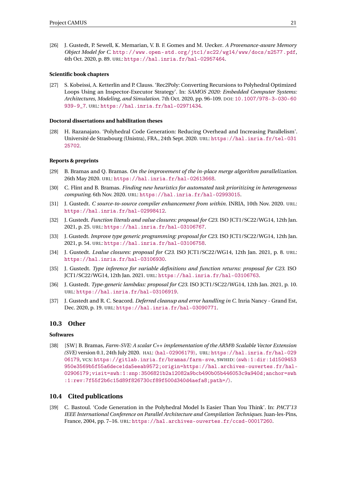<span id="page-23-5"></span>[26] J. Gustedt, P. Sewell, K. Memarian, V. B. F. Gomes and M. Uecker. *A Provenance-aware Memory Object Model for C*. [http://www.open- std.org/jtc1/sc22/wg14/www/docs/n2577.pdf](http://www.open-std.org/jtc1/sc22/wg14/www/docs/n2577.pdf), 4th Oct. 2020, p. 89. URL: <https://hal.inria.fr/hal-02957464>.

#### **Scientific book chapters**

<span id="page-23-3"></span>[27] S. Kobeissi, A. Ketterlin and P. Clauss. 'Rec2Poly: Converting Recursions to Polyhedral Optimized Loops Using an Inspector-Executor Strategy'. In: *SAMOS 2020: Embedded Computer Systems: Architectures, Modeling, and Simulation*. 7th Oct. 2020, pp. 96–109. DOI: [10.1007/978-3-030-60](https://doi.org/10.1007/978-3-030-60939-9_7) [939-9\\_7](https://doi.org/10.1007/978-3-030-60939-9_7). URL: <https://hal.inria.fr/hal-02971434>.

#### **Doctoral dissertations and habilitation theses**

[28] H. Razanajato. 'Polyhedral Code Generation: Reducing Overhead and Increasing Parallelism'. Université de Strasbourg (Unistra), FRA., 24th Sept. 2020. URL: [https://hal.inria.fr/tel-031](https://hal.inria.fr/tel-03125702) [25702](https://hal.inria.fr/tel-03125702).

#### **Reports & preprints**

- [29] B. Bramas and Q. Bramas. *On the improvement of the in-place merge algorithm parallelization*. 26th May 2020. URL: <https://hal.inria.fr/hal-02613668>.
- <span id="page-23-4"></span>[30] C. Flint and B. Bramas. *Finding new heuristics for automated task prioritizing in heterogeneous computing*. 6th Nov. 2020. URL: <https://hal.inria.fr/hal-02993015>.
- [31] J. Gustedt. *C source-to-source compiler enhancement from within*. INRIA, 10th Nov. 2020. URL: <https://hal.inria.fr/hal-02998412>.
- [32] J. Gustedt. *Function literals and value closures: proposal for C23*. ISO JCT1/SC22/WG14, 12th Jan. 2021, p. 25. URL: <https://hal.inria.fr/hal-03106767>.
- [33] J. Gustedt. *Improve type generic programming: proposal for C23*. ISO JCT1/SC22/WG14, 12th Jan. 2021, p. 54. URL: <https://hal.inria.fr/hal-03106758>.
- [34] J. Gustedt. *Lvalue closures: proposal for C23*. ISO JCT1/SC22/WG14, 12th Jan. 2021, p. 8. URL: <https://hal.inria.fr/hal-03106930>.
- [35] J. Gustedt. *Type inference for variable definitions and function returns: proposal for C23*. ISO JCT1/SC22/WG14, 12th Jan. 2021. URL: <https://hal.inria.fr/hal-03106763>.
- [36] J. Gustedt. *Type-generic lambdas: proposal for C23*. ISO JCT1/SC22/WG14, 12th Jan. 2021, p. 10. URL: <https://hal.inria.fr/hal-03106919>.
- <span id="page-23-6"></span>[37] J. Gustedt and R. C. Seacord. *Deferred cleanup and error handling in C*. Inria Nancy - Grand Est, Dec. 2020, p. 19. URL: <https://hal.inria.fr/hal-03090771>.

# <span id="page-23-0"></span>**10.3 Other**

# **Softwares**

[38] [SW ] B. Bramas, *Farm-SVE: A scalar C++ implementation of the ARM® Scalable Vector Extension (SVE)* version 0.1, 24th July 2020. HAL: 〈[hal-02906179](https://hal.archives-ouvertes.fr/hal-02906179)〉, URL: [https://hal.inria.fr/hal-029](https://hal.inria.fr/hal-02906179) [06179](https://hal.inria.fr/hal-02906179), VCS: <https://gitlab.inria.fr/bramas/farm-sve>, SWHID: 〈[swh:1:dir:1d1509453](http://archive.softwareheritage.org/swh:1:dir:1d1509453950e3569b5f55a6dece1da5eeab9572;origin=https://hal.archives-ouvertes.fr/hal-02906179;visit=swh:1:snp:3506821b2a12082a9bcb490b05b446053c9a940d;anchor=swh:1:rev:7f55f2b6c15d89f826730cf89f500d340d4aefa8;path=/) [950e3569b5f55a6dece1da5eeab9572;origin=https://hal.archives-ouvertes.fr/hal-](http://archive.softwareheritage.org/swh:1:dir:1d1509453950e3569b5f55a6dece1da5eeab9572;origin=https://hal.archives-ouvertes.fr/hal-02906179;visit=swh:1:snp:3506821b2a12082a9bcb490b05b446053c9a940d;anchor=swh:1:rev:7f55f2b6c15d89f826730cf89f500d340d4aefa8;path=/)[02906179;visit=swh:1:snp:3506821b2a12082a9bcb490b05b446053c9a940d;anchor=swh](http://archive.softwareheritage.org/swh:1:dir:1d1509453950e3569b5f55a6dece1da5eeab9572;origin=https://hal.archives-ouvertes.fr/hal-02906179;visit=swh:1:snp:3506821b2a12082a9bcb490b05b446053c9a940d;anchor=swh:1:rev:7f55f2b6c15d89f826730cf89f500d340d4aefa8;path=/) [:1:rev:7f55f2b6c15d89f826730cf89f500d340d4aefa8;path=/](http://archive.softwareheritage.org/swh:1:dir:1d1509453950e3569b5f55a6dece1da5eeab9572;origin=https://hal.archives-ouvertes.fr/hal-02906179;visit=swh:1:snp:3506821b2a12082a9bcb490b05b446053c9a940d;anchor=swh:1:rev:7f55f2b6c15d89f826730cf89f500d340d4aefa8;path=/)〉.

# <span id="page-23-1"></span>**10.4 Cited publications**

<span id="page-23-2"></span>[39] C. Bastoul. 'Code Generation in the Polyhedral Model Is Easier Than You Think'. In: *PACT'13 IEEE International Conference on Parallel Architecture and Compilation Techniques*. Juan-les-Pins, France, 2004, pp. 7–16. URL: <https://hal.archives-ouvertes.fr/ccsd-00017260>.